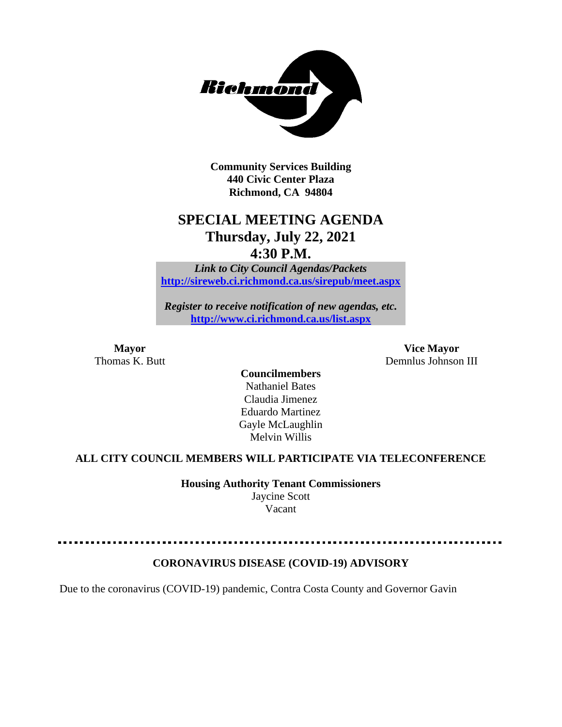

**Community Services Building 440 Civic Center Plaza Richmond, CA 94804**

# **SPECIAL MEETING AGENDA Thursday, July 22, 2021 4:30 P.M.**

*Link to City Council Agendas/Packets* **<http://sireweb.ci.richmond.ca.us/sirepub/meet.aspx>**

*Register to receive notification of new agendas, etc.* **<http://www.ci.richmond.ca.us/list.aspx>**

**Mayor Vice Mayor** Thomas K. Butt **Demnlus Johnson III** 

> **Councilmembers** Nathaniel Bates Claudia Jimenez Eduardo Martinez Gayle McLaughlin Melvin Willis

#### **ALL CITY COUNCIL MEMBERS WILL PARTICIPATE VIA TELECONFERENCE**

**Housing Authority Tenant Commissioners**

Jaycine Scott Vacant

#### **CORONAVIRUS DISEASE (COVID-19) ADVISORY**

Due to the coronavirus (COVID-19) pandemic, Contra Costa County and Governor Gavin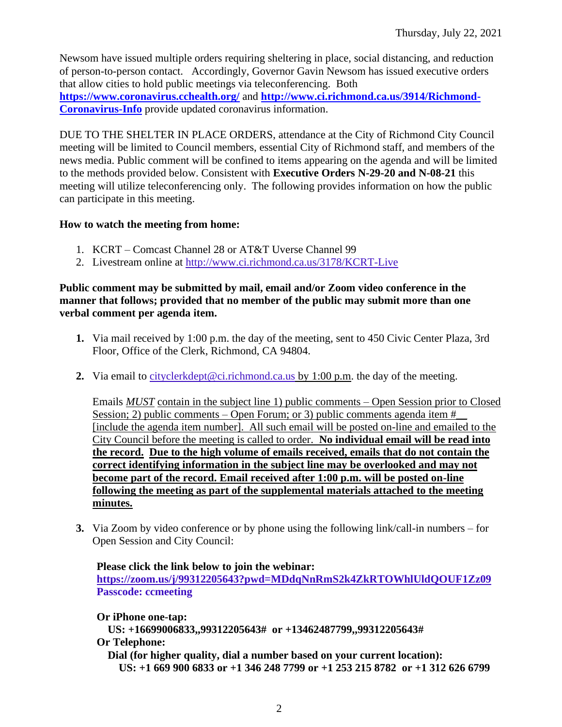Newsom have issued multiple orders requiring sheltering in place, social distancing, and reduction of person-to-person contact. Accordingly, Governor Gavin Newsom has issued executive orders that allow cities to hold public meetings via teleconferencing. Both **<https://www.coronavirus.cchealth.org/>** and **[http://www.ci.richmond.ca.us/3914/Richmond-](http://www.ci.richmond.ca.us/3914/Richmond-Coronavirus-Info)[Coronavirus-Info](http://www.ci.richmond.ca.us/3914/Richmond-Coronavirus-Info)** provide updated coronavirus information.

DUE TO THE SHELTER IN PLACE ORDERS, attendance at the City of Richmond City Council meeting will be limited to Council members, essential City of Richmond staff, and members of the news media. Public comment will be confined to items appearing on the agenda and will be limited to the methods provided below. Consistent with **Executive Orders N-29-20 and N-08-21** this meeting will utilize teleconferencing only. The following provides information on how the public can participate in this meeting.

#### **How to watch the meeting from home:**

- 1. KCRT Comcast Channel 28 or AT&T Uverse Channel 99
- 2. Livestream online at<http://www.ci.richmond.ca.us/3178/KCRT-Live>

#### **Public comment may be submitted by mail, email and/or Zoom video conference in the manner that follows; provided that no member of the public may submit more than one verbal comment per agenda item.**

- **1.** Via mail received by 1:00 p.m. the day of the meeting, sent to 450 Civic Center Plaza, 3rd Floor, Office of the Clerk, Richmond, CA 94804.
- **2.** Via email to [cityclerkdept@ci.richmond.ca.us](mailto:cityclerkdept@ci.richmond.ca.us) by 1:00 p.m. the day of the meeting.

Emails *MUST* contain in the subject line 1) public comments – Open Session prior to Closed Session; 2) public comments – Open Forum; or 3) public comments agenda item  $#$ [include the agenda item number]. All such email will be posted on-line and emailed to the City Council before the meeting is called to order. **No individual email will be read into the record. Due to the high volume of emails received, emails that do not contain the correct identifying information in the subject line may be overlooked and may not become part of the record. Email received after 1:00 p.m. will be posted on-line following the meeting as part of the supplemental materials attached to the meeting minutes.**

**3.** Via Zoom by video conference or by phone using the following link/call-in numbers – for Open Session and City Council:

#### **Please click the link below to join the webinar:**

**<https://zoom.us/j/99312205643?pwd=MDdqNnRmS2k4ZkRTOWhlUldQOUF1Zz09> Passcode: ccmeeting**

**Or iPhone one-tap:**

**US: +16699006833,,99312205643# or +13462487799,,99312205643# Or Telephone:**

**Dial (for higher quality, dial a number based on your current location): US: +1 669 900 6833 or +1 346 248 7799 or +1 253 215 8782 or +1 312 626 6799**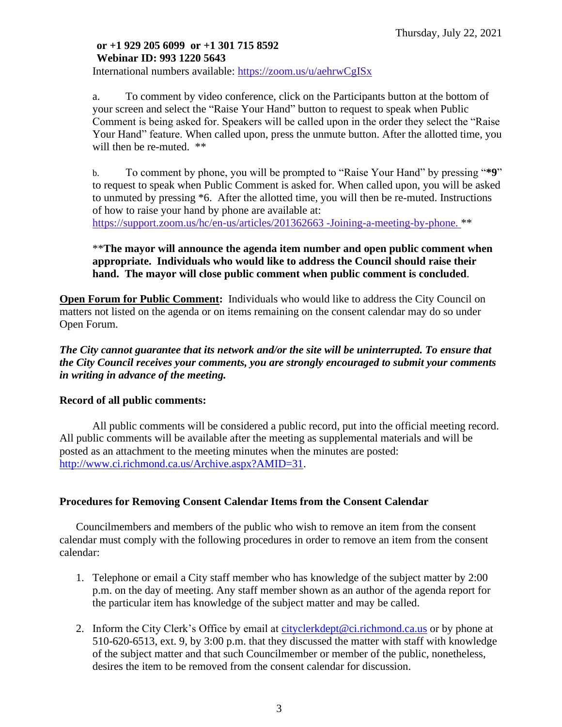# **or +1 929 205 6099 or +1 301 715 8592 Webinar ID: 993 1220 5643**

International numbers available: <https://zoom.us/u/aehrwCgISx>

a. To comment by video conference, click on the Participants button at the bottom of your screen and select the "Raise Your Hand" button to request to speak when Public Comment is being asked for. Speakers will be called upon in the order they select the "Raise Your Hand" feature. When called upon, press the unmute button. After the allotted time, you will then be re-muted.  $**$ 

b. To comment by phone, you will be prompted to "Raise Your Hand" by pressing "**\*9**" to request to speak when Public Comment is asked for. When called upon, you will be asked to unmuted by pressing \*6. After the allotted time, you will then be re-muted. Instructions of how to raise your hand by phone are available at: [https://support.zoom.us/hc/en-us/articles/201362663 -Joining-a-meeting-by-phone.](https://support.zoom.us/hc/en-us/articles/201362663) \*\*

#### \*\***The mayor will announce the agenda item number and open public comment when appropriate. Individuals who would like to address the Council should raise their hand. The mayor will close public comment when public comment is concluded**.

**Open Forum for Public Comment:** Individuals who would like to address the City Council on matters not listed on the agenda or on items remaining on the consent calendar may do so under Open Forum.

*The City cannot guarantee that its network and/or the site will be uninterrupted. To ensure that the City Council receives your comments, you are strongly encouraged to submit your comments in writing in advance of the meeting.* 

#### **Record of all public comments:**

All public comments will be considered a public record, put into the official meeting record. All public comments will be available after the meeting as supplemental materials and will be posted as an attachment to the meeting minutes when the minutes are posted: [http://www.ci.richmond.ca.us/Archive.aspx?AMID=31.](http://www.ci.richmond.ca.us/Archive.aspx?AMID=31)

## **Procedures for Removing Consent Calendar Items from the Consent Calendar**

Councilmembers and members of the public who wish to remove an item from the consent calendar must comply with the following procedures in order to remove an item from the consent calendar:

- 1. Telephone or email a City staff member who has knowledge of the subject matter by 2:00 p.m. on the day of meeting. Any staff member shown as an author of the agenda report for the particular item has knowledge of the subject matter and may be called.
- 2. Inform the City Clerk's Office by email at [cityclerkdept@ci.richmond.ca.us](mailto:cityclerkdept@ci.richmond.ca.us) or by phone at 510-620-6513, ext. 9, by 3:00 p.m. that they discussed the matter with staff with knowledge of the subject matter and that such Councilmember or member of the public, nonetheless, desires the item to be removed from the consent calendar for discussion.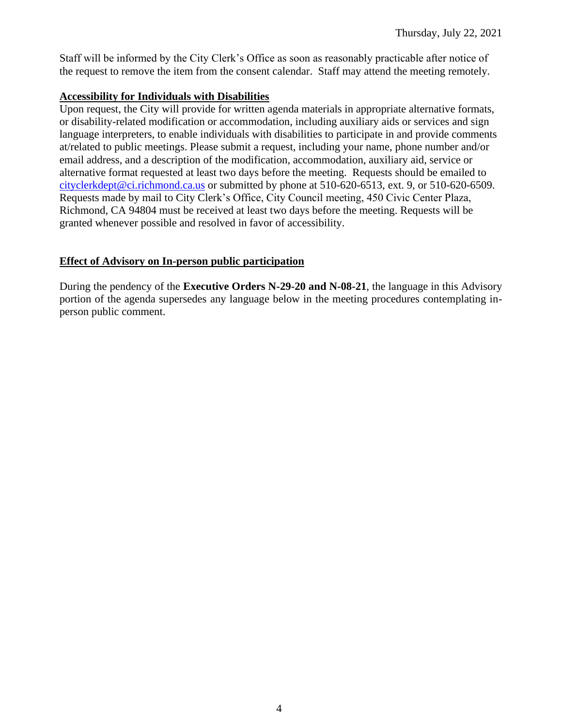Staff will be informed by the City Clerk's Office as soon as reasonably practicable after notice of the request to remove the item from the consent calendar. Staff may attend the meeting remotely.

#### **Accessibility for Individuals with Disabilities**

Upon request, the City will provide for written agenda materials in appropriate alternative formats, or disability-related modification or accommodation, including auxiliary aids or services and sign language interpreters, to enable individuals with disabilities to participate in and provide comments at/related to public meetings. Please submit a request, including your name, phone number and/or email address, and a description of the modification, accommodation, auxiliary aid, service or alternative format requested at least two days before the meeting. Requests should be emailed to [cityclerkdept@ci.richmond.ca.us](mailto:cityclerkdept@ci.richmond.ca.us) or submitted by phone at 510-620-6513, ext. 9, or 510-620-6509. Requests made by mail to City Clerk's Office, City Council meeting, 450 Civic Center Plaza, Richmond, CA 94804 must be received at least two days before the meeting. Requests will be granted whenever possible and resolved in favor of accessibility.

#### **Effect of Advisory on In-person public participation**

During the pendency of the **Executive Orders N-29-20 and N-08-21**, the language in this Advisory portion of the agenda supersedes any language below in the meeting procedures contemplating inperson public comment.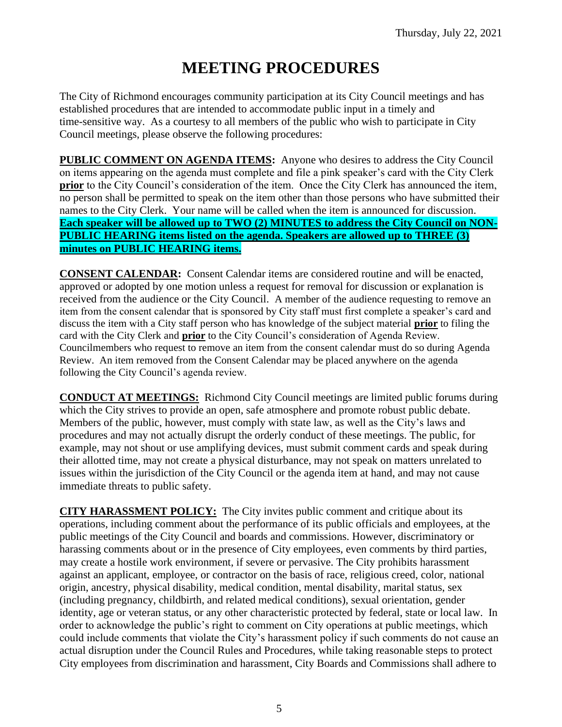# **MEETING PROCEDURES**

The City of Richmond encourages community participation at its City Council meetings and has established procedures that are intended to accommodate public input in a timely and time-sensitive way. As a courtesy to all members of the public who wish to participate in City Council meetings, please observe the following procedures:

**PUBLIC COMMENT ON AGENDA ITEMS:** Anyone who desires to address the City Council on items appearing on the agenda must complete and file a pink speaker's card with the City Clerk **prior** to the City Council's consideration of the item. Once the City Clerk has announced the item, no person shall be permitted to speak on the item other than those persons who have submitted their names to the City Clerk. Your name will be called when the item is announced for discussion. **Each speaker will be allowed up to TWO (2) MINUTES to address the City Council on NON-PUBLIC HEARING items listed on the agenda. Speakers are allowed up to THREE (3) minutes on PUBLIC HEARING items.**

**CONSENT CALENDAR:** Consent Calendar items are considered routine and will be enacted, approved or adopted by one motion unless a request for removal for discussion or explanation is received from the audience or the City Council. A member of the audience requesting to remove an item from the consent calendar that is sponsored by City staff must first complete a speaker's card and discuss the item with a City staff person who has knowledge of the subject material **prior** to filing the card with the City Clerk and **prior** to the City Council's consideration of Agenda Review. Councilmembers who request to remove an item from the consent calendar must do so during Agenda Review. An item removed from the Consent Calendar may be placed anywhere on the agenda following the City Council's agenda review.

**CONDUCT AT MEETINGS:** Richmond City Council meetings are limited public forums during which the City strives to provide an open, safe atmosphere and promote robust public debate. Members of the public, however, must comply with state law, as well as the City's laws and procedures and may not actually disrupt the orderly conduct of these meetings. The public, for example, may not shout or use amplifying devices, must submit comment cards and speak during their allotted time, may not create a physical disturbance, may not speak on matters unrelated to issues within the jurisdiction of the City Council or the agenda item at hand, and may not cause immediate threats to public safety.

**CITY HARASSMENT POLICY:** The City invites public comment and critique about its operations, including comment about the performance of its public officials and employees, at the public meetings of the City Council and boards and commissions. However, discriminatory or harassing comments about or in the presence of City employees, even comments by third parties, may create a hostile work environment, if severe or pervasive. The City prohibits harassment against an applicant, employee, or contractor on the basis of race, religious creed, color, national origin, ancestry, physical disability, medical condition, mental disability, marital status, sex (including pregnancy, childbirth, and related medical conditions), sexual orientation, gender identity, age or veteran status, or any other characteristic protected by federal, state or local law. In order to acknowledge the public's right to comment on City operations at public meetings, which could include comments that violate the City's harassment policy if such comments do not cause an actual disruption under the Council Rules and Procedures, while taking reasonable steps to protect City employees from discrimination and harassment, City Boards and Commissions shall adhere to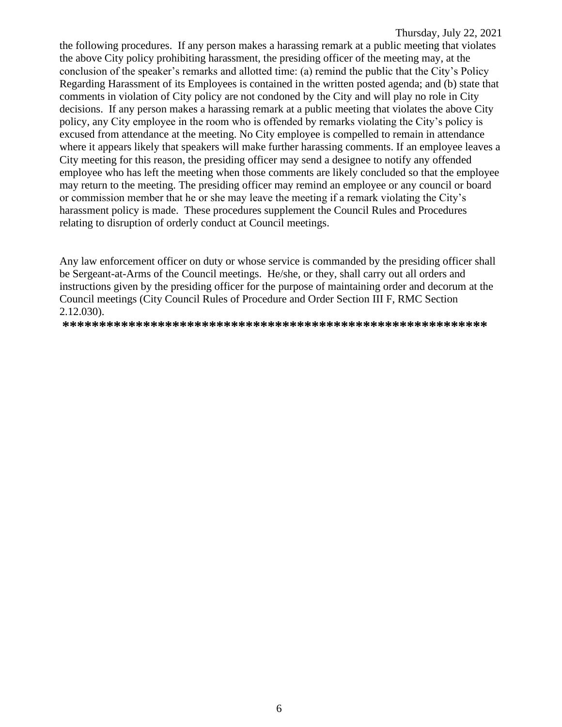the following procedures. If any person makes a harassing remark at a public meeting that violates the above City policy prohibiting harassment, the presiding officer of the meeting may, at the conclusion of the speaker's remarks and allotted time: (a) remind the public that the City's Policy Regarding Harassment of its Employees is contained in the written posted agenda; and (b) state that comments in violation of City policy are not condoned by the City and will play no role in City decisions. If any person makes a harassing remark at a public meeting that violates the above City policy, any City employee in the room who is offended by remarks violating the City's policy is excused from attendance at the meeting. No City employee is compelled to remain in attendance where it appears likely that speakers will make further harassing comments. If an employee leaves a City meeting for this reason, the presiding officer may send a designee to notify any offended employee who has left the meeting when those comments are likely concluded so that the employee may return to the meeting. The presiding officer may remind an employee or any council or board or commission member that he or she may leave the meeting if a remark violating the City's harassment policy is made. These procedures supplement the Council Rules and Procedures relating to disruption of orderly conduct at Council meetings.

Any law enforcement officer on duty or whose service is commanded by the presiding officer shall be Sergeant-at-Arms of the Council meetings. He/she, or they, shall carry out all orders and instructions given by the presiding officer for the purpose of maintaining order and decorum at the Council meetings (City Council Rules of Procedure and Order Section III F, RMC Section 2.12.030).

**\*\*\*\*\*\*\*\*\*\*\*\*\*\*\*\*\*\*\*\*\*\*\*\*\*\*\*\*\*\*\*\*\*\*\*\*\*\*\*\*\*\*\*\*\*\*\*\*\*\*\*\*\*\*\*\*\*\***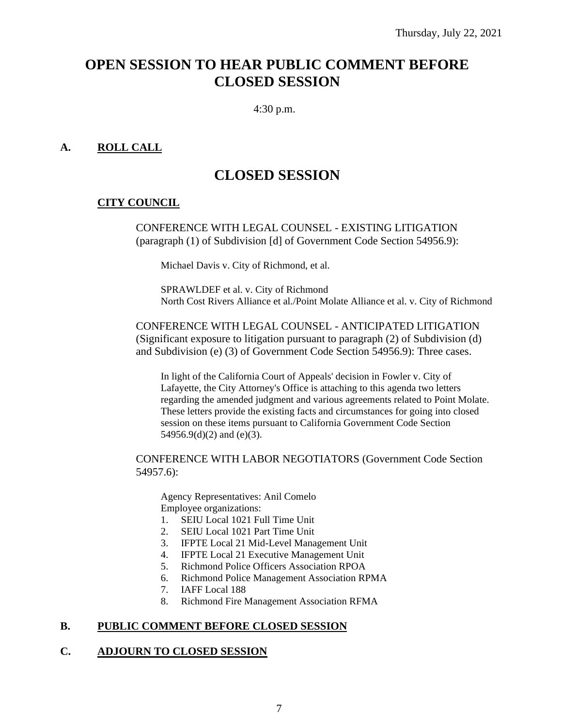# **OPEN SESSION TO HEAR PUBLIC COMMENT BEFORE CLOSED SESSION**

4:30 p.m.

#### **A. ROLL CALL**

# **CLOSED SESSION**

#### **CITY COUNCIL**

CONFERENCE WITH LEGAL COUNSEL - EXISTING LITIGATION (paragraph (1) of Subdivision [d] of Government Code Section 54956.9):

Michael Davis v. City of Richmond, et al.

SPRAWLDEF et al. v. City of Richmond North Cost Rivers Alliance et al./Point Molate Alliance et al. v. City of Richmond

CONFERENCE WITH LEGAL COUNSEL - ANTICIPATED LITIGATION (Significant exposure to litigation pursuant to paragraph (2) of Subdivision (d) and Subdivision (e) (3) of Government Code Section 54956.9): Three cases.

In light of the California Court of Appeals' decision in Fowler v. City of Lafayette, the City Attorney's Office is attaching to this agenda two letters regarding the amended judgment and various agreements related to Point Molate. These letters provide the existing facts and circumstances for going into closed session on these items pursuant to California Government Code Section 54956.9(d)(2) and (e)(3).

CONFERENCE WITH LABOR NEGOTIATORS (Government Code Section 54957.6):

Agency Representatives: Anil Comelo Employee organizations:

- 1. SEIU Local 1021 Full Time Unit
- 2. SEIU Local 1021 Part Time Unit
- 3. IFPTE Local 21 Mid-Level Management Unit
- 4. IFPTE Local 21 Executive Management Unit
- 5. Richmond Police Officers Association RPOA
- 6. Richmond Police Management Association RPMA
- 7. IAFF Local 188
- 8. Richmond Fire Management Association RFMA

#### **B. PUBLIC COMMENT BEFORE CLOSED SESSION**

#### **C. ADJOURN TO CLOSED SESSION**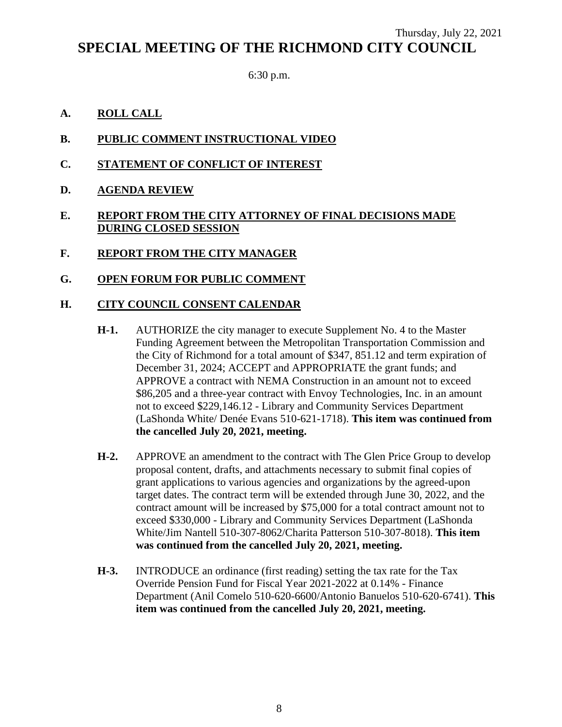## Thursday, July 22, 2021 **SPECIAL MEETING OF THE RICHMOND CITY COUNCIL**

6:30 p.m.

#### **A. ROLL CALL**

- **B. PUBLIC COMMENT INSTRUCTIONAL VIDEO**
- **C. STATEMENT OF CONFLICT OF INTEREST**
- **D. AGENDA REVIEW**

#### **E. REPORT FROM THE CITY ATTORNEY OF FINAL DECISIONS MADE DURING CLOSED SESSION**

- **F. REPORT FROM THE CITY MANAGER**
- **G. OPEN FORUM FOR PUBLIC COMMENT**

#### **H. CITY COUNCIL CONSENT CALENDAR**

- **H-1.** AUTHORIZE the city manager to execute Supplement No. 4 to the Master Funding Agreement between the Metropolitan Transportation Commission and the City of Richmond for a total amount of \$347, 851.12 and term expiration of December 31, 2024; ACCEPT and APPROPRIATE the grant funds; and APPROVE a contract with NEMA Construction in an amount not to exceed \$86,205 and a three-year contract with Envoy Technologies, Inc. in an amount not to exceed \$229,146.12 - Library and Community Services Department (LaShonda White/ Denée Evans 510-621-1718). **This item was continued from the cancelled July 20, 2021, meeting.**
- **H-2.** APPROVE an amendment to the contract with The Glen Price Group to develop proposal content, drafts, and attachments necessary to submit final copies of grant applications to various agencies and organizations by the agreed-upon target dates. The contract term will be extended through June 30, 2022, and the contract amount will be increased by \$75,000 for a total contract amount not to exceed \$330,000 - Library and Community Services Department (LaShonda White/Jim Nantell 510-307-8062/Charita Patterson 510-307-8018). **This item was continued from the cancelled July 20, 2021, meeting.**
- **H-3.** INTRODUCE an ordinance (first reading) setting the tax rate for the Tax Override Pension Fund for Fiscal Year 2021-2022 at 0.14% - Finance Department (Anil Comelo 510-620-6600/Antonio Banuelos 510-620-6741). **This item was continued from the cancelled July 20, 2021, meeting.**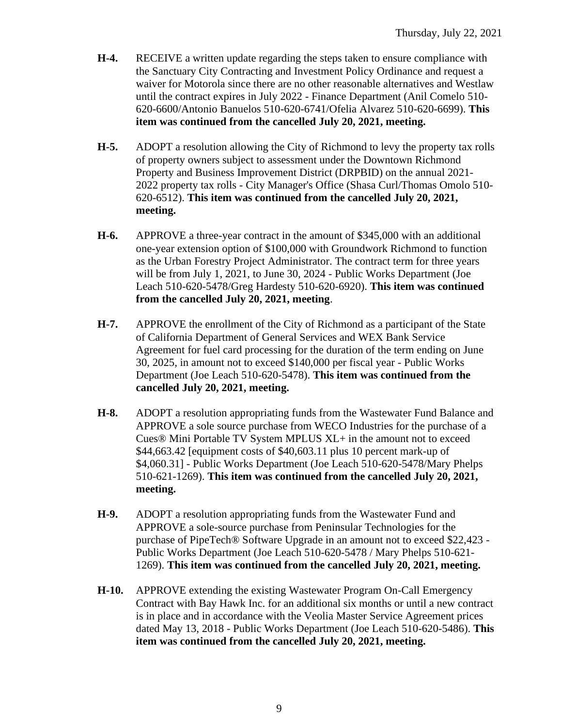- **H-4.** RECEIVE a written update regarding the steps taken to ensure compliance with the Sanctuary City Contracting and Investment Policy Ordinance and request a waiver for Motorola since there are no other reasonable alternatives and Westlaw until the contract expires in July 2022 - Finance Department (Anil Comelo 510- 620-6600/Antonio Banuelos 510-620-6741/Ofelia Alvarez 510-620-6699). **This item was continued from the cancelled July 20, 2021, meeting.**
- **H-5.** ADOPT a resolution allowing the City of Richmond to levy the property tax rolls of property owners subject to assessment under the Downtown Richmond Property and Business Improvement District (DRPBID) on the annual 2021- 2022 property tax rolls - City Manager's Office (Shasa Curl/Thomas Omolo 510- 620-6512). **This item was continued from the cancelled July 20, 2021, meeting.**
- **H-6.** APPROVE a three-year contract in the amount of \$345,000 with an additional one-year extension option of \$100,000 with Groundwork Richmond to function as the Urban Forestry Project Administrator. The contract term for three years will be from July 1, 2021, to June 30, 2024 - Public Works Department (Joe Leach 510-620-5478/Greg Hardesty 510-620-6920). **This item was continued from the cancelled July 20, 2021, meeting**.
- **H-7.** APPROVE the enrollment of the City of Richmond as a participant of the State of California Department of General Services and WEX Bank Service Agreement for fuel card processing for the duration of the term ending on June 30, 2025, in amount not to exceed \$140,000 per fiscal year - Public Works Department (Joe Leach 510-620-5478). **This item was continued from the cancelled July 20, 2021, meeting.**
- **H-8.** ADOPT a resolution appropriating funds from the Wastewater Fund Balance and APPROVE a sole source purchase from WECO Industries for the purchase of a Cues® Mini Portable TV System MPLUS XL+ in the amount not to exceed \$44,663.42 [equipment costs of \$40,603.11 plus 10 percent mark-up of \$4,060.31] - Public Works Department (Joe Leach 510-620-5478/Mary Phelps 510-621-1269). **This item was continued from the cancelled July 20, 2021, meeting.**
- **H-9.** ADOPT a resolution appropriating funds from the Wastewater Fund and APPROVE a sole-source purchase from Peninsular Technologies for the purchase of PipeTech® Software Upgrade in an amount not to exceed \$22,423 - Public Works Department (Joe Leach 510-620-5478 / Mary Phelps 510-621- 1269). **This item was continued from the cancelled July 20, 2021, meeting.**
- **H-10.** APPROVE extending the existing Wastewater Program On-Call Emergency Contract with Bay Hawk Inc. for an additional six months or until a new contract is in place and in accordance with the Veolia Master Service Agreement prices dated May 13, 2018 - Public Works Department (Joe Leach 510-620-5486). **This item was continued from the cancelled July 20, 2021, meeting.**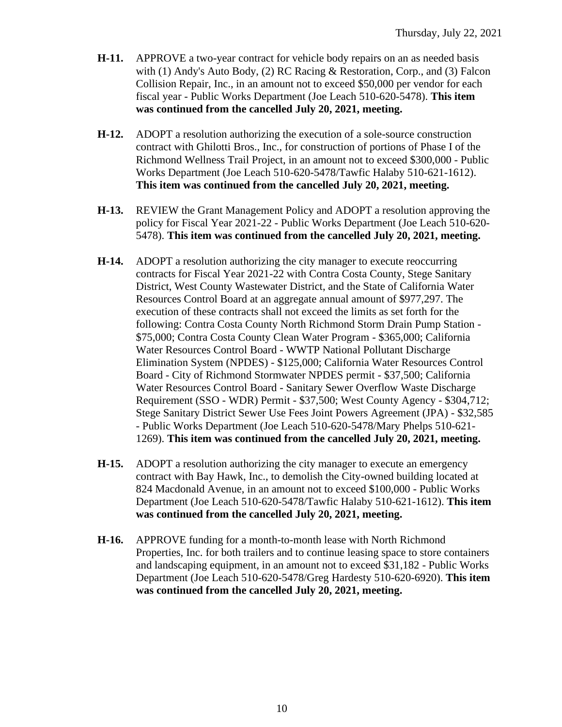- **H-11.** APPROVE a two-year contract for vehicle body repairs on an as needed basis with (1) Andy's Auto Body, (2) RC Racing & Restoration, Corp., and (3) Falcon Collision Repair, Inc., in an amount not to exceed \$50,000 per vendor for each fiscal year - Public Works Department (Joe Leach 510-620-5478). **This item was continued from the cancelled July 20, 2021, meeting.**
- **H-12.** ADOPT a resolution authorizing the execution of a sole-source construction contract with Ghilotti Bros., Inc., for construction of portions of Phase I of the Richmond Wellness Trail Project, in an amount not to exceed \$300,000 - Public Works Department (Joe Leach 510-620-5478/Tawfic Halaby 510-621-1612). **This item was continued from the cancelled July 20, 2021, meeting.**
- **H-13.** REVIEW the Grant Management Policy and ADOPT a resolution approving the policy for Fiscal Year 2021-22 - Public Works Department (Joe Leach 510-620- 5478). **This item was continued from the cancelled July 20, 2021, meeting.**
- **H-14.** ADOPT a resolution authorizing the city manager to execute reoccurring contracts for Fiscal Year 2021-22 with Contra Costa County, Stege Sanitary District, West County Wastewater District, and the State of California Water Resources Control Board at an aggregate annual amount of \$977,297. The execution of these contracts shall not exceed the limits as set forth for the following: Contra Costa County North Richmond Storm Drain Pump Station - \$75,000; Contra Costa County Clean Water Program - \$365,000; California Water Resources Control Board - WWTP National Pollutant Discharge Elimination System (NPDES) - \$125,000; California Water Resources Control Board - City of Richmond Stormwater NPDES permit - \$37,500; California Water Resources Control Board - Sanitary Sewer Overflow Waste Discharge Requirement (SSO - WDR) Permit - \$37,500; West County Agency - \$304,712; Stege Sanitary District Sewer Use Fees Joint Powers Agreement (JPA) - \$32,585 - Public Works Department (Joe Leach 510-620-5478/Mary Phelps 510-621- 1269). **This item was continued from the cancelled July 20, 2021, meeting.**
- **H-15.** ADOPT a resolution authorizing the city manager to execute an emergency contract with Bay Hawk, Inc., to demolish the City-owned building located at 824 Macdonald Avenue, in an amount not to exceed \$100,000 - Public Works Department (Joe Leach 510-620-5478/Tawfic Halaby 510-621-1612). **This item was continued from the cancelled July 20, 2021, meeting.**
- **H-16.** APPROVE funding for a month-to-month lease with North Richmond Properties, Inc. for both trailers and to continue leasing space to store containers and landscaping equipment, in an amount not to exceed \$31,182 - Public Works Department (Joe Leach 510-620-5478/Greg Hardesty 510-620-6920). **This item was continued from the cancelled July 20, 2021, meeting.**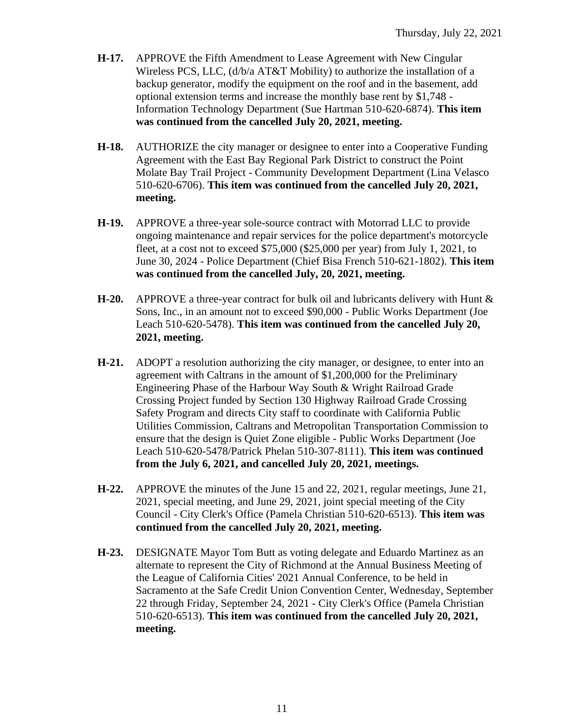- **H-17.** APPROVE the Fifth Amendment to Lease Agreement with New Cingular Wireless PCS, LLC, (d/b/a AT&T Mobility) to authorize the installation of a backup generator, modify the equipment on the roof and in the basement, add optional extension terms and increase the monthly base rent by \$1,748 - Information Technology Department (Sue Hartman 510-620-6874). **This item was continued from the cancelled July 20, 2021, meeting.**
- **H-18.** AUTHORIZE the city manager or designee to enter into a Cooperative Funding Agreement with the East Bay Regional Park District to construct the Point Molate Bay Trail Project - Community Development Department (Lina Velasco 510-620-6706). **This item was continued from the cancelled July 20, 2021, meeting.**
- **H-19.** APPROVE a three-year sole-source contract with Motorrad LLC to provide ongoing maintenance and repair services for the police department's motorcycle fleet, at a cost not to exceed \$75,000 (\$25,000 per year) from July 1, 2021, to June 30, 2024 - Police Department (Chief Bisa French 510-621-1802). **This item was continued from the cancelled July, 20, 2021, meeting.**
- **H-20.** APPROVE a three-year contract for bulk oil and lubricants delivery with Hunt & Sons, Inc., in an amount not to exceed \$90,000 - Public Works Department (Joe Leach 510-620-5478). **This item was continued from the cancelled July 20, 2021, meeting.**
- **H-21.** ADOPT a resolution authorizing the city manager, or designee, to enter into an agreement with Caltrans in the amount of \$1,200,000 for the Preliminary Engineering Phase of the Harbour Way South & Wright Railroad Grade Crossing Project funded by Section 130 Highway Railroad Grade Crossing Safety Program and directs City staff to coordinate with California Public Utilities Commission, Caltrans and Metropolitan Transportation Commission to ensure that the design is Quiet Zone eligible - Public Works Department (Joe Leach 510-620-5478/Patrick Phelan 510-307-8111). **This item was continued from the July 6, 2021, and cancelled July 20, 2021, meetings.**
- **H-22.** APPROVE the minutes of the June 15 and 22, 2021, regular meetings, June 21, 2021, special meeting, and June 29, 2021, joint special meeting of the City Council - City Clerk's Office (Pamela Christian 510-620-6513). **This item was continued from the cancelled July 20, 2021, meeting.**
- **H-23.** DESIGNATE Mayor Tom Butt as voting delegate and Eduardo Martinez as an alternate to represent the City of Richmond at the Annual Business Meeting of the League of California Cities' 2021 Annual Conference, to be held in Sacramento at the Safe Credit Union Convention Center, Wednesday, September 22 through Friday, September 24, 2021 - City Clerk's Office (Pamela Christian 510-620-6513). **This item was continued from the cancelled July 20, 2021, meeting.**